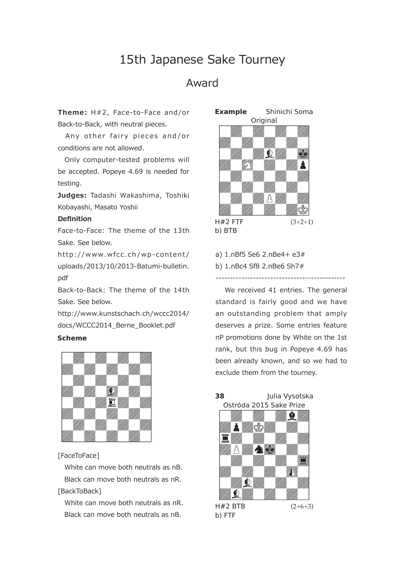# 15th Japanese Sake Tourney

## Award

**Theme:** H#2, Face-to-Face and /or Back-to-Back, with neutral pieces.

Any other fairy pieces and/or conditions are not allowed.

 Only computer-tested problems will be accepted. Popeye 4.69 is needed for testing.

**Judges:** Tadashi Wakashima, Toshiki Kobayashi, Masato Yoshii

### **Definition**

Face-to-Face: The theme of the 13th Sake. See below.

http://www.wfcc.ch/wp-content/ uploads/2013/10/2013-Batumi-bulletin. pdf

Back-to-Back: The theme of the 14th Sake. See below.

http://www.kunstschach.ch/wccc2014/ docs/WCCC2014\_Berne\_Booklet.pdf

#### **-**



[FaceToFace]

 White can move both neutrals as nB. Black can move both neutrals as nR. [BackToBack]

 White can move both neutrals as nR. Black can move both neutrals as nB.



a) 1.nBf5 Se6 2.nBe4+ e3# b) 1.nBc4 Sf8 2.nBe6 Sh7#

 We received 41 entries. The general standard is fairly good and we have an outstanding problem that amply deserves a prize. Some entries feature nP promotions done by White on the 1st rank, but this bug in Popeye 4.69 has been already known, and so we had to exclude them from the tourney.

---------------------------------------------

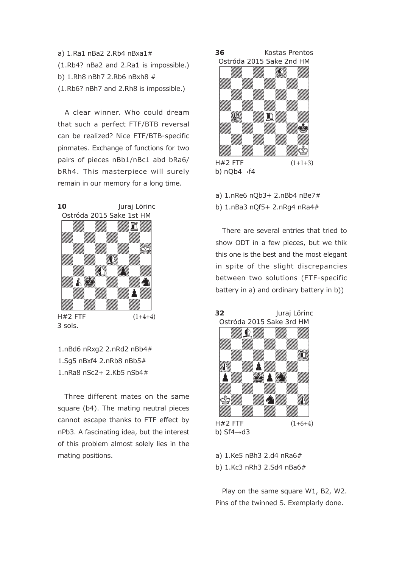a) 1.Ra1 nBa2 2.Rb4 nBxa1# (1.Rb4? nBa2 and 2.Ra1 is impossible.) b) 1.Rh8 nBh7 2.Rb6 nBxh8 # (1.Rb6? nBh7 and 2.Rh8 is impossible.)

 A clear winner. Who could dream that such a perfect FTF/BTB reversal can be realized? Nice FTF/BTB-specific pinmates. Exchange of functions for two pairs of pieces nBb1/nBc1 abd bRa6/ bRh4. This masterpiece will surely remain in our memory for a long time.



1.nBd6 nRxg2 2.nRd2 nBb4#

1.Sg5 nBxf4 2.nRb8 nBb5# 1.nRa8 nSc2+ 2.Kb5 nSb4#

 Three different mates on the same square (b4). The mating neutral pieces cannot escape thanks to FTF effect by nPb3. A fascinating idea, but the interest of this problem almost solely lies in the mating positions.



b)  $nQb4 \rightarrow f4$ 

- a) 1.nRe6 nQb3+ 2.nBb4 nBe7#
- b) 1.nBa3 nQf5+ 2.nRg4 nRa4#

 There are several entries that tried to show ODT in a few pieces, but we thik this one is the best and the most elegant in spite of the slight discrepancies between two solutions (FTF-specific battery in a) and ordinary battery in b))



a) 1.Ke5 nBh3 2.d4 nRa6#

b) 1.Kc3 nRh3 2.Sd4 nBa6#

 Play on the same square W1, B2, W2. Pins of the twinned S. Exemplarly done.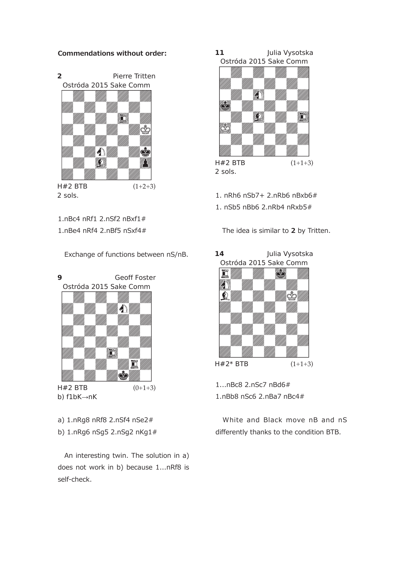#### **Commendations without order:**



1.nBc4 nRf1 2.nSf2 nBxf1#

1.nBe4 nRf4 2.nBf5 nSxf4#

Exchange of functions between nS/nB.



a) 1.nRg8 nRf8 2.nSf4 nSe2#

b) 1.nRg6 nSg5 2.nSg2 nKg1#

 An interesting twin. The solution in a) does not work in b) because 1...nRf8 is self-check.

11 lia Vysotska Ostróda 2015 Sake Comm



- 1. nRh6 nSb7+ 2.nRb6 nBxb6#
- 1.  $nSh5 nBh6$  2.nRh4 nRyh $5#$

The idea is similar to **2** by Tritten.

**-4** Julia Vysotska Ostróda 2015 Sake Comm



1...nBc8 2.nSc7 nBd6# 1.nBb8 nSc6 2.nBa7 nBc4#

 White and Black move nB and nS differently thanks to the condition BTB.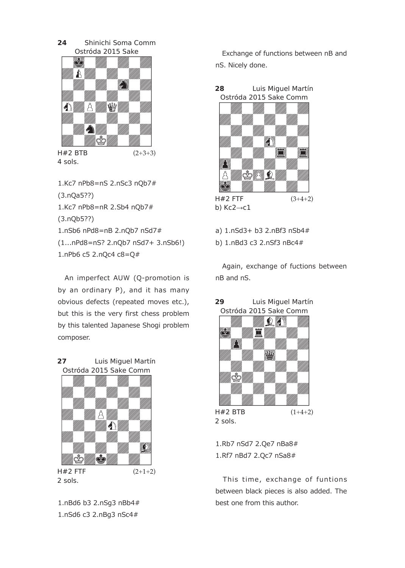**-4** Shinichi Soma Comm Ostróda 2015 Sake



4 sols.

1.Kc7 nPb8=nS 2.nSc3 nQb7# (3.nQa5??) 1.Kc7 nPb8=nR 2.Sb4 nQb7# (3.nQb5??) 1.nSb6 nPd8=nB 2.nQb7 nSd7# (1...nPd8=nS? 2.nQb7 nSd7+ 3.nSb6!) 1.nPb6 c5 2.nQc4 c8=Q#

 An imperfect AUW (Q-promotion is by an ordinary P), and it has many obvious defects (repeated moves etc.), but this is the very first chess problem by this talented Japanese Shogi problem composer.



 $H#2$  FTF 2 sols.  $(2+1+2)$ 

1.nBd6 b3 2.nSg3 nBb4# 1.nSd6 c3 2.nBg3 nSc4#

 Exchange of functions between nB and nS. Nicely done.





b)  $Kc2 \rightarrow c1$ 

**-**

a) 1.nSd3+ b3 2.nBf3 nSb4#

b) 1.nBd3 c3 2.nSf3 nBc4#

 Again, exchange of fuctions between nB and nS.



**9** Luis Miguel Martín

2 sols.

1.Rb7 nSd7 2.Qe7 nBa8# 1.Rf7 nBd7 2.Qc7 nSa8#

This time, exchange of funtions between black pieces is also added. The best one from this author.